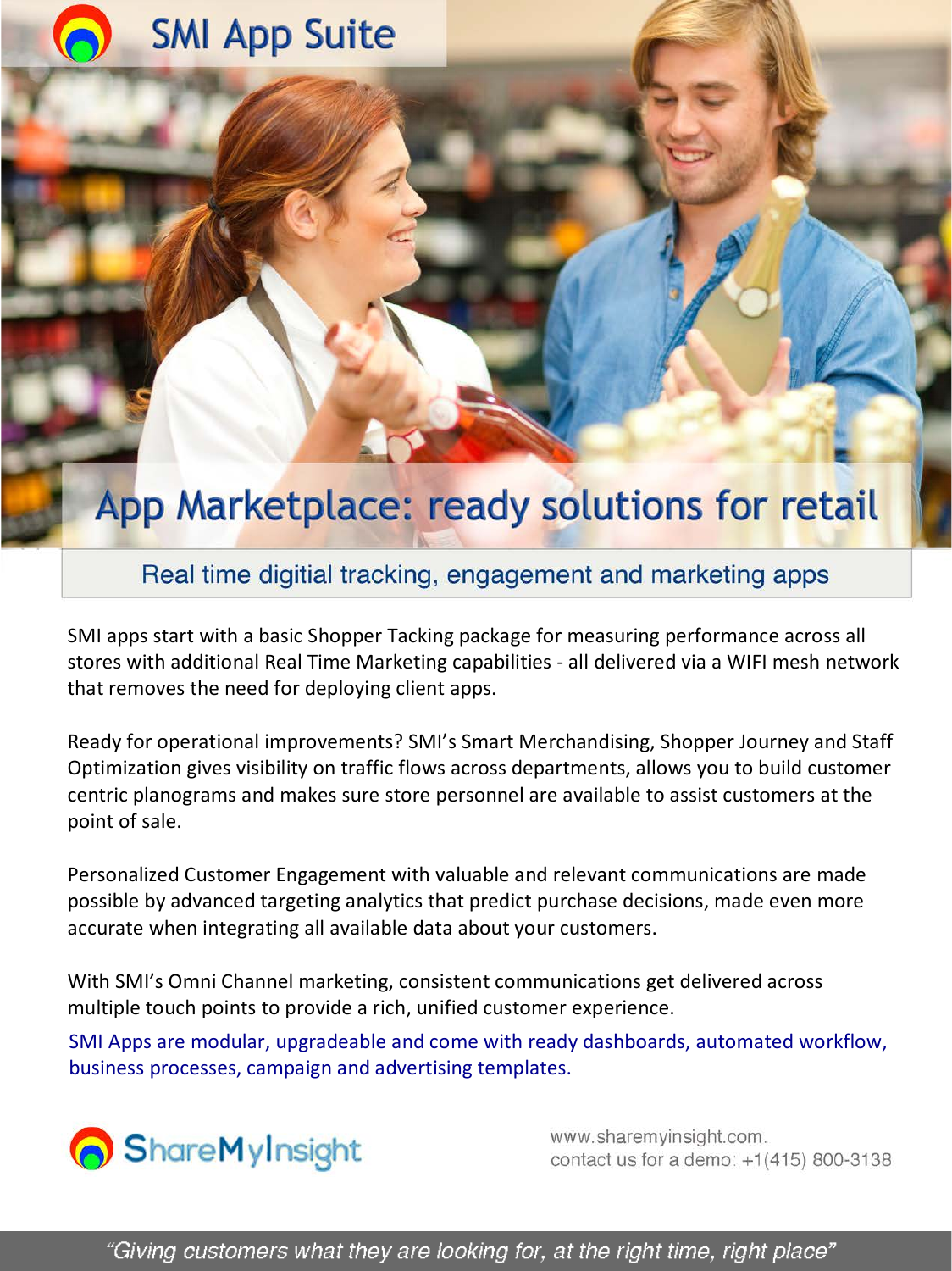# **SMI App Suite**

# App Marketplace: ready solutions for retail

# Real time digitial tracking, engagement and marketing apps

SMI apps start with a basic Shopper Tacking package for measuring performance across all stores with additional Real Time Marketing capabilities - all delivered via a WIFI mesh network that removes the need for deploying client apps.

Ready for operational improvements? SMI's Smart Merchandising, Shopper Journey and Staff Optimization gives visibility on traffic flows across departments, allows you to build customer centric planograms and makes sure store personnel are available to assist customers at the point of sale.

Personalized Customer Engagement with valuable and relevant communications are made possible by advanced targeting analytics that predict purchase decisions, made even more accurate when integrating all available data about your customers.

With SMI's Omni Channel marketing, consistent communications get delivered across multiple touch points to provide a rich, unified customer experience.

SMI Apps are modular, upgradeable and come with ready dashboards, automated workflow, business processes, campaign and advertising templates.



www.sharemyinsight.com. contact us for a demo: +1(415) 800-3138

"Giving customers what they are looking for, at the right time, right place"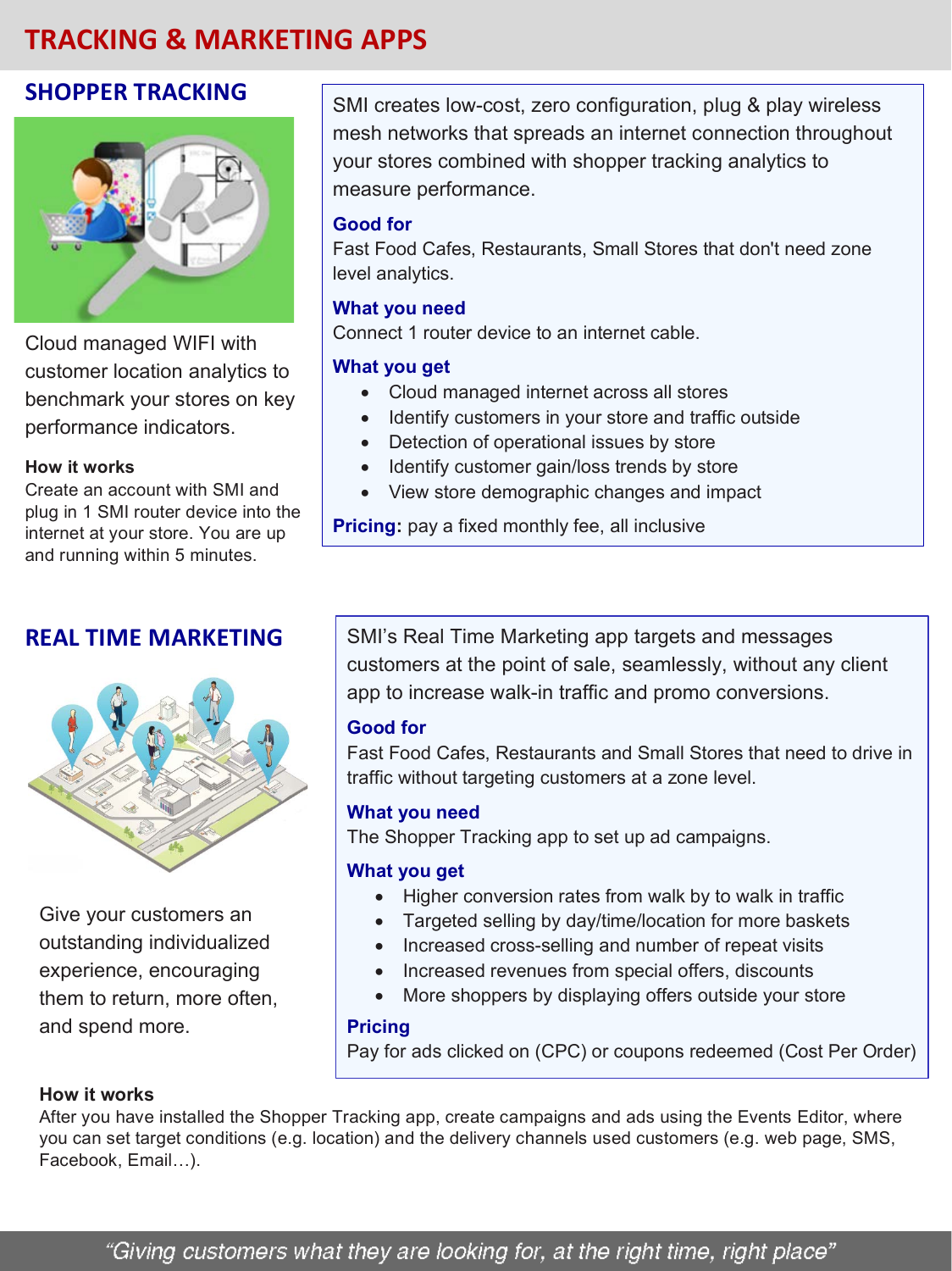# **TRACKING & MARKETING APPS**

# **SHOPPER TRACKING**



Cloud managed WIFI with customer location analytics to benchmark your stores on key performance indicators.

#### **How it works**

Create an account with SMI and plug in 1 SMI router device into the internet at your store. You are up and running within 5 minutes.

# **REAL TIME MARKETING**



Give your customers an outstanding individualized experience, encouraging them to return, more often, and spend more.

SMI creates low-cost, zero configuration, plug & play wireless mesh networks that spreads an internet connection throughout your stores combined with shopper tracking analytics to measure performance.

#### **Good for**

Fast Food Cafes, Restaurants, Small Stores that don't need zone level analytics.

#### **What you need**

Connect 1 router device to an internet cable.

## **What you get**

- Cloud managed internet across all stores
- Identify customers in your store and traffic outside
- Detection of operational issues by store
- Identify customer gain/loss trends by store
- View store demographic changes and impact

**Pricing:** pay a fixed monthly fee, all inclusive

SMI's Real Time Marketing app targets and messages customers at the point of sale, seamlessly, without any client app to increase walk-in traffic and promo conversions.

## **Good for**

Fast Food Cafes, Restaurants and Small Stores that need to drive in traffic without targeting customers at a zone level.

## **What you need**

The Shopper Tracking app to set up ad campaigns.

#### **What you get**

- Higher conversion rates from walk by to walk in traffic
- Targeted selling by day/time/location for more baskets
- Increased cross-selling and number of repeat visits
- Increased revenues from special offers, discounts
- More shoppers by displaying offers outside your store

## **Pricing**

Pay for ads clicked on (CPC) or coupons redeemed (Cost Per Order)

#### **How it works**

After you have installed the Shopper Tracking app, create campaigns and ads using the Events Editor, where you can set target conditions (e.g. location) and the delivery channels used customers (e.g. web page, SMS, Facebook, Email…).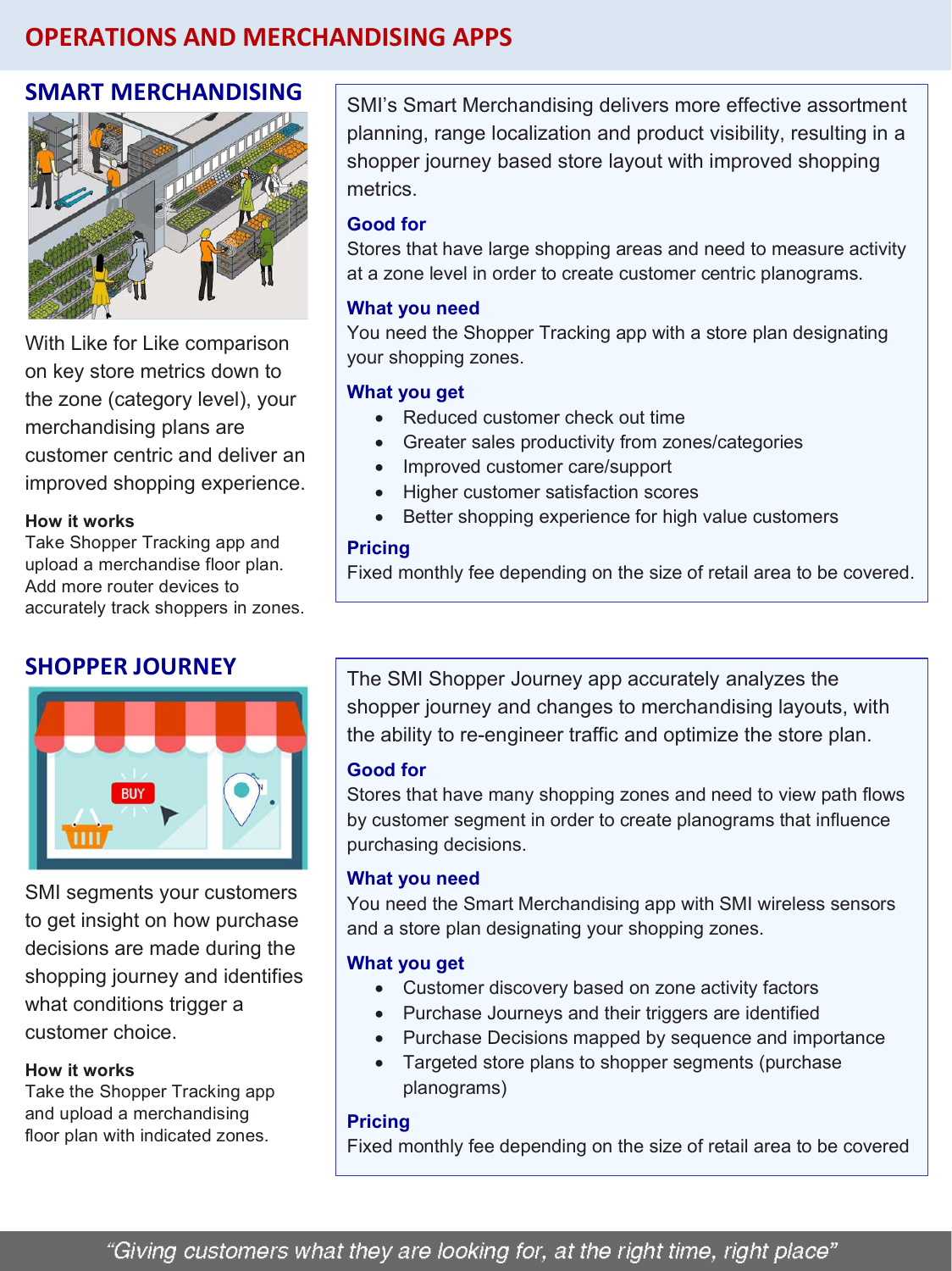# **OPERATIONS AND MERCHANDISING APPS**

# **SMART MERCHANDISING**



With Like for Like comparison on key store metrics down to the zone (category level), your merchandising plans are customer centric and deliver an improved shopping experience.

#### **How it works**

Take Shopper Tracking app and upload a merchandise floor plan. Add more router devices to accurately track shoppers in zones.

# **SHOPPER JOURNEY**



SMI segments your customers to get insight on how purchase decisions are made during the shopping journey and identifies what conditions trigger a customer choice.

#### **How it works**

Take the Shopper Tracking app and upload a merchandising floor plan with indicated zones.

SMI's Smart Merchandising delivers more effective assortment planning, range localization and product visibility, resulting in a shopper journey based store layout with improved shopping metrics.

#### **Good for**

Stores that have large shopping areas and need to measure activity at a zone level in order to create customer centric planograms.

#### **What you need**

You need the Shopper Tracking app with a store plan designating your shopping zones.

## **What you get**

- Reduced customer check out time
- Greater sales productivity from zones/categories
- Improved customer care/support
- Higher customer satisfaction scores
- Better shopping experience for high value customers

#### **Pricing**

Fixed monthly fee depending on the size of retail area to be covered.

The SMI Shopper Journey app accurately analyzes the shopper journey and changes to merchandising layouts, with the ability to re-engineer traffic and optimize the store plan.

#### **Good for**

Stores that have many shopping zones and need to view path flows by customer segment in order to create planograms that influence purchasing decisions.

#### **What you need**

You need the Smart Merchandising app with SMI wireless sensors and a store plan designating your shopping zones.

#### **What you get**

- Customer discovery based on zone activity factors
- Purchase Journeys and their triggers are identified
- Purchase Decisions mapped by sequence and importance
- Targeted store plans to shopper segments (purchase planograms)

#### **Pricing**

Fixed monthly fee depending on the size of retail area to be covered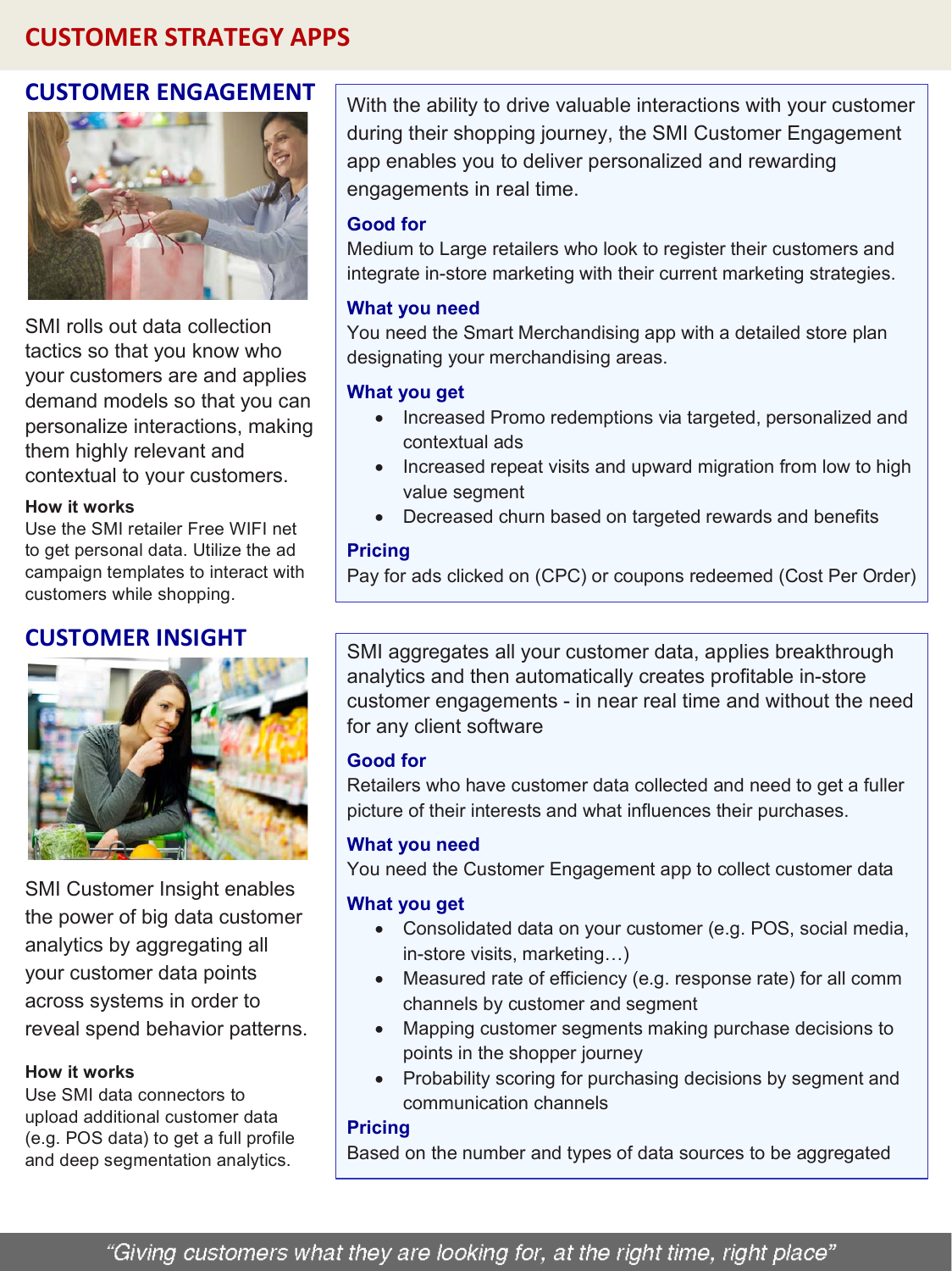# **CUSTOMER STRATEGY APPS**

# **CUSTOMER ENGAGEMENT**



SMI rolls out data collection tactics so that you know who your customers are and applies demand models so that you can personalize interactions, making them highly relevant and contextual to your customers.

## **How it works**

Use the SMI retailer Free WIFI net to get personal data. Utilize the ad campaign templates to interact with customers while shopping.

# **CUSTOMER INSIGHT**



SMI Customer Insight enables the power of big data customer analytics by aggregating all your customer data points across systems in order to reveal spend behavior patterns.

# **How it works**

Use SMI data connectors to upload additional customer data (e.g. POS data) to get a full profile and deep segmentation analytics.

With the ability to drive valuable interactions with your customer during their shopping journey, the SMI Customer Engagement app enables you to deliver personalized and rewarding engagements in real time.

# **Good for**

Medium to Large retailers who look to register their customers and integrate in-store marketing with their current marketing strategies.

# **What you need**

You need the Smart Merchandising app with a detailed store plan designating your merchandising areas.

# **What you get**

- Increased Promo redemptions via targeted, personalized and contextual ads
- Increased repeat visits and upward migration from low to high value segment
- Decreased churn based on targeted rewards and benefits

## **Pricing**

Pay for ads clicked on (CPC) or coupons redeemed (Cost Per Order)

SMI aggregates all your customer data, applies breakthrough analytics and then automatically creates profitable in-store customer engagements - in near real time and without the need for any client software

# **Good for**

Retailers who have customer data collected and need to get a fuller picture of their interests and what influences their purchases.

# **What you need**

You need the Customer Engagement app to collect customer data

# **What you get**

- Consolidated data on your customer (e.g. POS, social media, in-store visits, marketing…)
- Measured rate of efficiency (e.g. response rate) for all comm channels by customer and segment
- Mapping customer segments making purchase decisions to points in the shopper journey
- Probability scoring for purchasing decisions by segment and communication channels

## **Pricing**

Based on the number and types of data sources to be aggregated

"Giving customers what they are looking for, at the right time, right place"